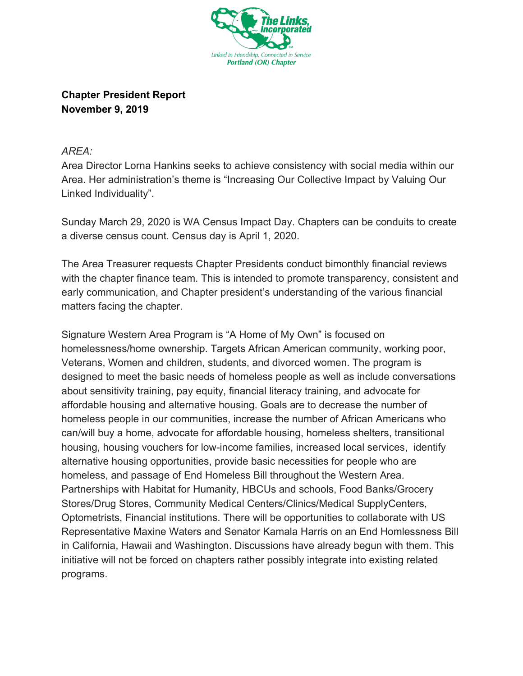

**Chapter President Report November 9, 2019**

## *AREA:*

Area Director Lorna Hankins seeks to achieve consistency with social media within our Area. Her administration's theme is "Increasing Our Collective Impact by Valuing Our Linked Individuality".

Sunday March 29, 2020 is WA Census Impact Day. Chapters can be conduits to create a diverse census count. Census day is April 1, 2020.

The Area Treasurer requests Chapter Presidents conduct bimonthly financial reviews with the chapter finance team. This is intended to promote transparency, consistent and early communication, and Chapter president's understanding of the various financial matters facing the chapter.

Signature Western Area Program is "A Home of My Own" is focused on homelessness/home ownership. Targets African American community, working poor, Veterans, Women and children, students, and divorced women. The program is designed to meet the basic needs of homeless people as well as include conversations about sensitivity training, pay equity, financial literacy training, and advocate for affordable housing and alternative housing. Goals are to decrease the number of homeless people in our communities, increase the number of African Americans who can/will buy a home, advocate for affordable housing, homeless shelters, transitional housing, housing vouchers for low-income families, increased local services, identify alternative housing opportunities, provide basic necessities for people who are homeless, and passage of End Homeless Bill throughout the Western Area. Partnerships with Habitat for Humanity, HBCUs and schools, Food Banks/Grocery Stores/Drug Stores, Community Medical Centers/Clinics/Medical SupplyCenters, Optometrists, Financial institutions. There will be opportunities to collaborate with US Representative Maxine Waters and Senator Kamala Harris on an End Homlessness Bill in California, Hawaii and Washington. Discussions have already begun with them. This initiative will not be forced on chapters rather possibly integrate into existing related programs.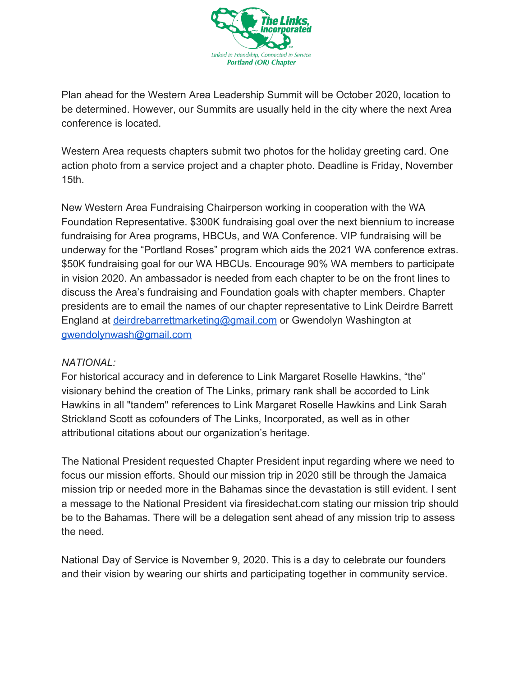

Plan ahead for the Western Area Leadership Summit will be October 2020, location to be determined. However, our Summits are usually held in the city where the next Area conference is located.

Western Area requests chapters submit two photos for the holiday greeting card. One action photo from a service project and a chapter photo. Deadline is Friday, November 15th.

New Western Area Fundraising Chairperson working in cooperation with the WA Foundation Representative. \$300K fundraising goal over the next biennium to increase fundraising for Area programs, HBCUs, and WA Conference. VIP fundraising will be underway for the "Portland Roses" program which aids the 2021 WA conference extras. \$50K fundraising goal for our WA HBCUs. Encourage 90% WA members to participate in vision 2020. An ambassador is needed from each chapter to be on the front lines to discuss the Area's fundraising and Foundation goals with chapter members. Chapter presidents are to email the names of our chapter representative to Link Deirdre Barrett England at [deirdrebarrettmarketing@gmail.com](mailto:deirdrebarrettmarketing@gmail.com) or Gwendolyn Washington at [gwendolynwash@gmail.com](mailto:gaendolynwash@gmail.com)

## *NATIONAL:*

For historical accuracy and in deference to Link Margaret Roselle Hawkins, "the" visionary behind the creation of The Links, primary rank shall be accorded to Link Hawkins in all "tandem" references to Link Margaret Roselle Hawkins and Link Sarah Strickland Scott as cofounders of The Links, Incorporated, as well as in other attributional citations about our organization's heritage.

The National President requested Chapter President input regarding where we need to focus our mission efforts. Should our mission trip in 2020 still be through the Jamaica mission trip or needed more in the Bahamas since the devastation is still evident. I sent a message to the National President via firesidechat.com stating our mission trip should be to the Bahamas. There will be a delegation sent ahead of any mission trip to assess the need.

National Day of Service is November 9, 2020. This is a day to celebrate our founders and their vision by wearing our shirts and participating together in community service.